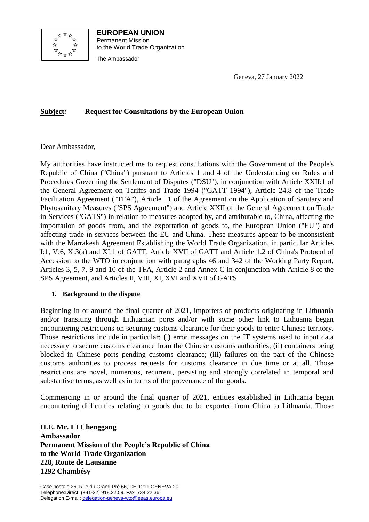

**EUROPEAN UNION** Permanent Mission to the World Trade Organization The Ambassador

Geneva, 27 January 2022

## **Subject***:* **Request for Consultations by the European Union**

Dear Ambassador,

My authorities have instructed me to request consultations with the Government of the People's Republic of China ("China") pursuant to Articles 1 and 4 of the Understanding on Rules and Procedures Governing the Settlement of Disputes ("DSU"), in conjunction with Article XXII:1 of the General Agreement on Tariffs and Trade 1994 ("GATT 1994"), Article 24.8 of the Trade Facilitation Agreement ("TFA"), Article 11 of the Agreement on the Application of Sanitary and Phytosanitary Measures ("SPS Agreement") and Article XXII of the General Agreement on Trade in Services ("GATS") in relation to measures adopted by, and attributable to, China, affecting the importation of goods from, and the exportation of goods to, the European Union ("EU") and affecting trade in services between the EU and China. These measures appear to be inconsistent with the Marrakesh Agreement Establishing the World Trade Organization, in particular Articles I:1, V:6, X:3(a) and XI:1 of GATT, Article XVII of GATT and Article 1.2 of China's Protocol of Accession to the WTO in conjunction with paragraphs 46 and 342 of the Working Party Report, Articles 3, 5, 7, 9 and 10 of the TFA, Article 2 and Annex C in conjunction with Article 8 of the SPS Agreement, and Articles II, VIII, XI, XVI and XVII of GATS.

## **1. Background to the dispute**

Beginning in or around the final quarter of 2021, importers of products originating in Lithuania and/or transiting through Lithuanian ports and/or with some other link to Lithuania began encountering restrictions on securing customs clearance for their goods to enter Chinese territory. Those restrictions include in particular: (i) error messages on the IT systems used to input data necessary to secure customs clearance from the Chinese customs authorities; (ii) containers being blocked in Chinese ports pending customs clearance; (iii) failures on the part of the Chinese customs authorities to process requests for customs clearance in due time or at all. Those restrictions are novel, numerous, recurrent, persisting and strongly correlated in temporal and substantive terms, as well as in terms of the provenance of the goods.

Commencing in or around the final quarter of 2021, entities established in Lithuania began encountering difficulties relating to goods due to be exported from China to Lithuania. Those

**H.E. Mr. LI Chenggang Ambassador Permanent Mission of the People's Republic of China to the World Trade Organization 228, Route de Lausanne 1292 Chambésy**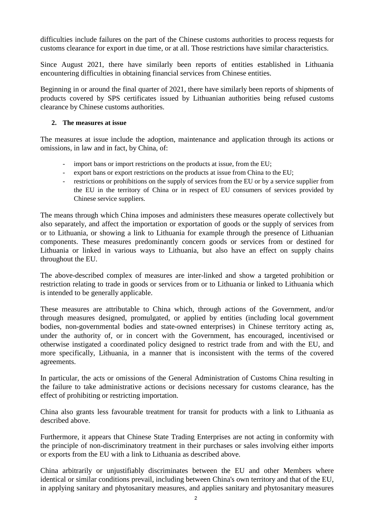difficulties include failures on the part of the Chinese customs authorities to process requests for customs clearance for export in due time, or at all. Those restrictions have similar characteristics.

Since August 2021, there have similarly been reports of entities established in Lithuania encountering difficulties in obtaining financial services from Chinese entities.

Beginning in or around the final quarter of 2021, there have similarly been reports of shipments of products covered by SPS certificates issued by Lithuanian authorities being refused customs clearance by Chinese customs authorities.

## **2. The measures at issue**

The measures at issue include the adoption, maintenance and application through its actions or omissions, in law and in fact, by China, of:

- import bans or import restrictions on the products at issue, from the EU;
- export bans or export restrictions on the products at issue from China to the EU;
- restrictions or prohibitions on the supply of services from the EU or by a service supplier from the EU in the territory of China or in respect of EU consumers of services provided by Chinese service suppliers.

The means through which China imposes and administers these measures operate collectively but also separately, and affect the importation or exportation of goods or the supply of services from or to Lithuania, or showing a link to Lithuania for example through the presence of Lithuanian components. These measures predominantly concern goods or services from or destined for Lithuania or linked in various ways to Lithuania, but also have an effect on supply chains throughout the EU.

The above-described complex of measures are inter-linked and show a targeted prohibition or restriction relating to trade in goods or services from or to Lithuania or linked to Lithuania which is intended to be generally applicable.

These measures are attributable to China which, through actions of the Government, and/or through measures designed, promulgated, or applied by entities (including local government bodies, non-governmental bodies and state-owned enterprises) in Chinese territory acting as, under the authority of, or in concert with the Government, has encouraged, incentivised or otherwise instigated a coordinated policy designed to restrict trade from and with the EU, and more specifically, Lithuania, in a manner that is inconsistent with the terms of the covered agreements.

In particular, the acts or omissions of the General Administration of Customs China resulting in the failure to take administrative actions or decisions necessary for customs clearance, has the effect of prohibiting or restricting importation.

China also grants less favourable treatment for transit for products with a link to Lithuania as described above.

Furthermore, it appears that Chinese State Trading Enterprises are not acting in conformity with the principle of non-discriminatory treatment in their purchases or sales involving either imports or exports from the EU with a link to Lithuania as described above.

China arbitrarily or unjustifiably discriminates between the EU and other Members where identical or similar conditions prevail, including between China's own territory and that of the EU, in applying sanitary and phytosanitary measures, and applies sanitary and phytosanitary measures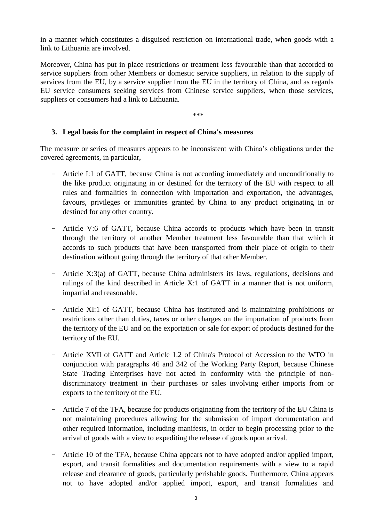in a manner which constitutes a disguised restriction on international trade, when goods with a link to Lithuania are involved.

Moreover, China has put in place restrictions or treatment less favourable than that accorded to service suppliers from other Members or domestic service suppliers, in relation to the supply of services from the EU, by a service supplier from the EU in the territory of China, and as regards EU service consumers seeking services from Chinese service suppliers, when those services, suppliers or consumers had a link to Lithuania.

\*\*\*

## **3. Legal basis for the complaint in respect of China's measures**

The measure or series of measures appears to be inconsistent with China's obligations under the covered agreements, in particular,

- Article I:1 of GATT, because China is not according immediately and unconditionally to the like product originating in or destined for the territory of the EU with respect to all rules and formalities in connection with importation and exportation, the advantages, favours, privileges or immunities granted by China to any product originating in or destined for any other country.
- Article V:6 of GATT, because China accords to products which have been in transit through the territory of another Member treatment less favourable than that which it accords to such products that have been transported from their place of origin to their destination without going through the territory of that other Member.
- Article X:3(a) of GATT, because China administers its laws, regulations, decisions and rulings of the kind described in Article X:1 of GATT in a manner that is not uniform, impartial and reasonable.
- Article XI:1 of GATT, because China has instituted and is maintaining prohibitions or restrictions other than duties, taxes or other charges on the importation of products from the territory of the EU and on the exportation or sale for export of products destined for the territory of the EU.
- Article XVII of GATT and Article 1.2 of China's Protocol of Accession to the WTO in conjunction with paragraphs 46 and 342 of the Working Party Report, because Chinese State Trading Enterprises have not acted in conformity with the principle of nondiscriminatory treatment in their purchases or sales involving either imports from or exports to the territory of the EU.
- Article 7 of the TFA, because for products originating from the territory of the EU China is not maintaining procedures allowing for the submission of import documentation and other required information, including manifests, in order to begin processing prior to the arrival of goods with a view to expediting the release of goods upon arrival.
- Article 10 of the TFA, because China appears not to have adopted and/or applied import, export, and transit formalities and documentation requirements with a view to a rapid release and clearance of goods, particularly perishable goods. Furthermore, China appears not to have adopted and/or applied import, export, and transit formalities and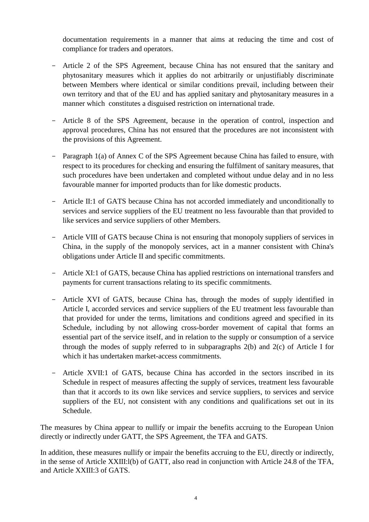documentation requirements in a manner that aims at reducing the time and cost of compliance for traders and operators.

- Article 2 of the SPS Agreement, because China has not ensured that the sanitary and phytosanitary measures which it applies do not arbitrarily or unjustifiably discriminate between Members where identical or similar conditions prevail, including between their own territory and that of the EU and has applied sanitary and phytosanitary measures in a manner which constitutes a disguised restriction on international trade.
- Article 8 of the SPS Agreement, because in the operation of control, inspection and approval procedures, China has not ensured that the procedures are not inconsistent with the provisions of this Agreement.
- Paragraph 1(a) of Annex C of the SPS Agreement because China has failed to ensure, with respect to its procedures for checking and ensuring the fulfilment of sanitary measures, that such procedures have been undertaken and completed without undue delay and in no less favourable manner for imported products than for like domestic products.
- Article II:1 of GATS because China has not accorded immediately and unconditionally to services and service suppliers of the EU treatment no less favourable than that provided to like services and service suppliers of other Members.
- Article VIII of GATS because China is not ensuring that monopoly suppliers of services in China, in the supply of the monopoly services, act in a manner consistent with China's obligations under Article II and specific commitments.
- Article XI:1 of GATS, because China has applied restrictions on international transfers and payments for current transactions relating to its specific commitments.
- Article XVI of GATS, because China has, through the modes of supply identified in Article I, accorded services and service suppliers of the EU treatment less favourable than that provided for under the terms, limitations and conditions agreed and specified in its Schedule, including by not allowing cross-border movement of capital that forms an essential part of the service itself, and in relation to the supply or consumption of a service through the modes of supply referred to in subparagraphs  $2(b)$  and  $2(c)$  of Article I for which it has undertaken market-access commitments.
- Article XVII:1 of GATS, because China has accorded in the sectors inscribed in its Schedule in respect of measures affecting the supply of services, treatment less favourable than that it accords to its own like services and service suppliers, to services and service suppliers of the EU, not consistent with any conditions and qualifications set out in its Schedule.

The measures by China appear to nullify or impair the benefits accruing to the European Union directly or indirectly under GATT, the SPS Agreement, the TFA and GATS.

In addition, these measures nullify or impair the benefits accruing to the EU, directly or indirectly, in the sense of Article XXIII:l(b) of GATT, also read in conjunction with Article 24.8 of the TFA, and Article XXIII:3 of GATS.